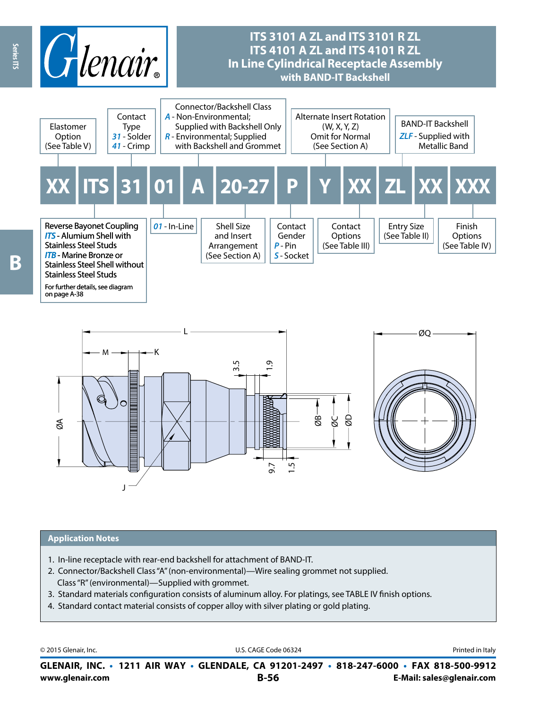



#### **Application Notes**

- 1. In-line receptacle with rear-end backshell for attachment of BAND-IT.
- 2. Connector/Backshell Class "A" (non-environmental)—Wire sealing grommet not supplied. Class "R" (environmental)—Supplied with grommet.
- 3. Standard materials configuration consists of aluminum alloy. For platings, see TABLE IV finish options.
- 4. Standard contact material consists of copper alloy with silver plating or gold plating.

© 2015 Glenair, Inc. **Discription Construction Construction Construction Construction Construction Construction Construction Construction Construction Construction Construction Construction Construction Construction Constr** 

**www.glenair.com B-56 E-Mail: sales@glenair.com GLENAIR, INC. • 1211 AIR WAY • GLENDALE, CA 91201-2497 • 818-247-6000 • FAX 818-500-9912**

B